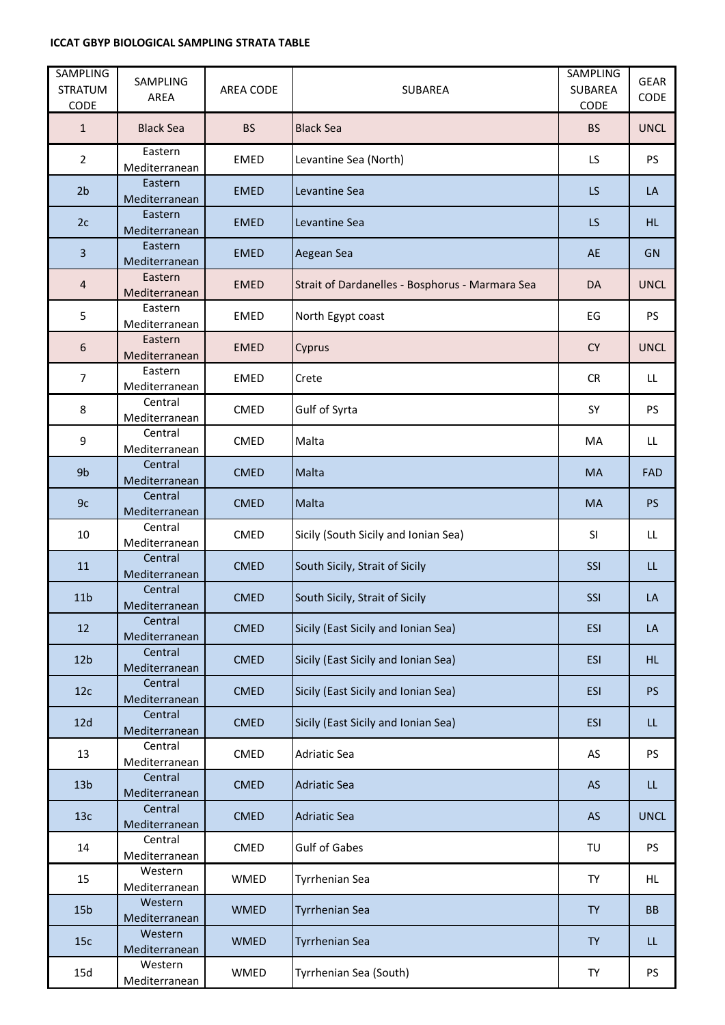## **ICCAT GBYP BIOLOGICAL SAMPLING STRATA TABLE**

| <b>SAMPLING</b><br><b>STRATUM</b><br>CODE | SAMPLING<br>AREA         | AREA CODE   | <b>SUBAREA</b>                                  | <b>SAMPLING</b><br>SUBAREA<br>CODE | <b>GEAR</b><br>CODE |
|-------------------------------------------|--------------------------|-------------|-------------------------------------------------|------------------------------------|---------------------|
| $\mathbf{1}$                              | <b>Black Sea</b>         | <b>BS</b>   | <b>Black Sea</b>                                | <b>BS</b>                          | <b>UNCL</b>         |
| $\overline{2}$                            | Eastern<br>Mediterranean | <b>EMED</b> | Levantine Sea (North)                           | LS.                                | <b>PS</b>           |
| 2 <sub>b</sub>                            | Eastern<br>Mediterranean | <b>EMED</b> | Levantine Sea                                   | LS                                 | LA                  |
| 2c                                        | Eastern<br>Mediterranean | <b>EMED</b> | Levantine Sea                                   | <b>LS</b>                          | HL.                 |
| $\overline{3}$                            | Eastern<br>Mediterranean | <b>EMED</b> | Aegean Sea                                      | <b>AE</b>                          | <b>GN</b>           |
| $\overline{4}$                            | Eastern<br>Mediterranean | <b>EMED</b> | Strait of Dardanelles - Bosphorus - Marmara Sea | <b>DA</b>                          | <b>UNCL</b>         |
| 5                                         | Eastern<br>Mediterranean | <b>EMED</b> | North Egypt coast                               | EG                                 | <b>PS</b>           |
| 6                                         | Eastern<br>Mediterranean | <b>EMED</b> | Cyprus                                          | <b>CY</b>                          | <b>UNCL</b>         |
| $\overline{7}$                            | Eastern<br>Mediterranean | <b>EMED</b> | Crete                                           | <b>CR</b>                          | LL.                 |
| 8                                         | Central<br>Mediterranean | CMED        | Gulf of Syrta                                   | SY                                 | <b>PS</b>           |
| 9                                         | Central<br>Mediterranean | <b>CMED</b> | Malta                                           | MA                                 | LL                  |
| 9b                                        | Central<br>Mediterranean | <b>CMED</b> | Malta                                           | <b>MA</b>                          | <b>FAD</b>          |
| 9c                                        | Central<br>Mediterranean | <b>CMED</b> | Malta                                           | <b>MA</b>                          | PS                  |
| 10                                        | Central<br>Mediterranean | <b>CMED</b> | Sicily (South Sicily and Ionian Sea)            | SI                                 | LL.                 |
| 11                                        | Central<br>Mediterranean | <b>CMED</b> | South Sicily, Strait of Sicily                  | SSI                                | LL                  |
| 11 <sub>b</sub>                           | Central<br>Mediterranean | <b>CMED</b> | South Sicily, Strait of Sicily                  | SSI                                | LA                  |
| 12                                        | Central<br>Mediterranean | <b>CMED</b> | Sicily (East Sicily and Ionian Sea)             | <b>ESI</b>                         | LA                  |
| 12 <sub>b</sub>                           | Central<br>Mediterranean | <b>CMED</b> | Sicily (East Sicily and Ionian Sea)             | <b>ESI</b>                         | HL.                 |
| 12c                                       | Central<br>Mediterranean | <b>CMED</b> | Sicily (East Sicily and Ionian Sea)             | <b>ESI</b>                         | <b>PS</b>           |
| 12d                                       | Central<br>Mediterranean | <b>CMED</b> | Sicily (East Sicily and Ionian Sea)             | <b>ESI</b>                         | LL.                 |
| 13                                        | Central<br>Mediterranean | <b>CMED</b> | <b>Adriatic Sea</b>                             | AS                                 | PS                  |
| 13 <sub>b</sub>                           | Central<br>Mediterranean | <b>CMED</b> | <b>Adriatic Sea</b>                             | <b>AS</b>                          | LL.                 |
| 13c                                       | Central<br>Mediterranean | <b>CMED</b> | <b>Adriatic Sea</b>                             | <b>AS</b>                          | <b>UNCL</b>         |
| 14                                        | Central<br>Mediterranean | CMED        | <b>Gulf of Gabes</b>                            | TU                                 | <b>PS</b>           |
| 15                                        | Western<br>Mediterranean | WMED        | <b>Tyrrhenian Sea</b>                           | TY                                 | HL.                 |
| 15 <sub>b</sub>                           | Western<br>Mediterranean | <b>WMED</b> | <b>Tyrrhenian Sea</b>                           | <b>TY</b>                          | <b>BB</b>           |
| 15c                                       | Western<br>Mediterranean | <b>WMED</b> | <b>Tyrrhenian Sea</b>                           | <b>TY</b>                          | LL.                 |
| 15d                                       | Western<br>Mediterranean | WMED        | Tyrrhenian Sea (South)                          | <b>TY</b>                          | PS                  |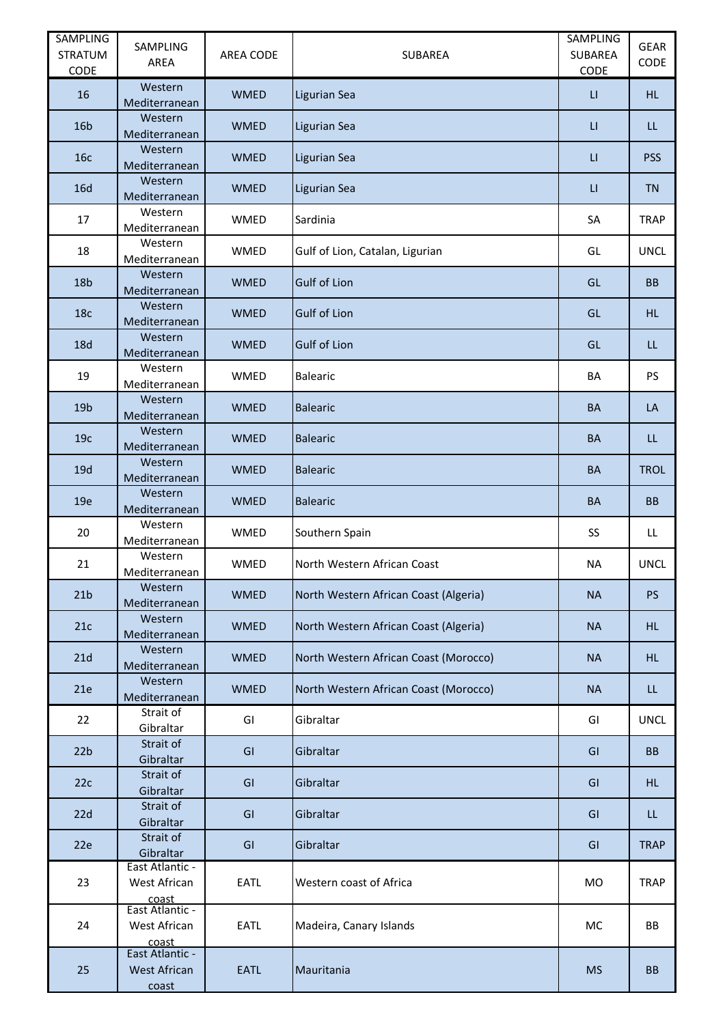| <b>SAMPLING</b><br><b>STRATUM</b> | SAMPLING<br>AREA                                  | AREA CODE   | <b>SUBAREA</b>                        | SAMPLING<br>SUBAREA             | <b>GEAR</b><br>CODE |
|-----------------------------------|---------------------------------------------------|-------------|---------------------------------------|---------------------------------|---------------------|
| CODE<br>16                        | Western                                           | <b>WMED</b> | Ligurian Sea                          | CODE<br>$\mathsf{L}\mathsf{L}%$ | HL.                 |
| 16 <sub>b</sub>                   | Mediterranean<br>Western                          | <b>WMED</b> | Ligurian Sea                          | $\mathsf{U}$                    | LL.                 |
| 16c                               | Mediterranean<br>Western                          | <b>WMED</b> |                                       | $\mathsf{L}\mathsf{L}%$         | <b>PSS</b>          |
|                                   | Mediterranean<br>Western                          |             | <b>Ligurian Sea</b>                   |                                 |                     |
| 16d                               | Mediterranean                                     | <b>WMED</b> | Ligurian Sea                          | $\mathsf{H}$                    | <b>TN</b>           |
| 17                                | Western<br>Mediterranean                          | WMED        | Sardinia                              | SA                              | <b>TRAP</b>         |
| 18                                | Western<br>Mediterranean                          | WMED        | Gulf of Lion, Catalan, Ligurian       | GL                              | <b>UNCL</b>         |
| 18 <sub>b</sub>                   | Western<br>Mediterranean                          | <b>WMED</b> | <b>Gulf of Lion</b>                   | GL                              | <b>BB</b>           |
| 18 <sub>c</sub>                   | Western<br>Mediterranean                          | <b>WMED</b> | <b>Gulf of Lion</b>                   | GL                              | <b>HL</b>           |
| <b>18d</b>                        | Western<br>Mediterranean                          | <b>WMED</b> | <b>Gulf of Lion</b>                   | GL                              | LL                  |
| 19                                | Western<br>Mediterranean                          | <b>WMED</b> | <b>Balearic</b>                       | BA                              | <b>PS</b>           |
| 19 <sub>b</sub>                   | Western<br>Mediterranean                          | <b>WMED</b> | <b>Balearic</b>                       | <b>BA</b>                       | LA                  |
| 19 <sub>c</sub>                   | Western<br>Mediterranean                          | <b>WMED</b> | <b>Balearic</b>                       | <b>BA</b>                       | LL.                 |
| 19d                               | Western<br>Mediterranean                          | <b>WMED</b> | <b>Balearic</b>                       | <b>BA</b>                       | <b>TROL</b>         |
| 19e                               | Western<br>Mediterranean                          | <b>WMED</b> | <b>Balearic</b>                       | <b>BA</b>                       | <b>BB</b>           |
| 20                                | Western<br>Mediterranean                          | WMED        | Southern Spain                        | SS                              | LL                  |
| 21                                | Western<br>Mediterranean                          | WMED        | North Western African Coast           | <b>NA</b>                       | <b>UNCL</b>         |
| 21 <sub>b</sub>                   | Western<br>Mediterranean                          | <b>WMED</b> | North Western African Coast (Algeria) | <b>NA</b>                       | <b>PS</b>           |
| 21c                               | Western<br>Mediterranean                          | <b>WMED</b> | North Western African Coast (Algeria) | <b>NA</b>                       | HL.                 |
| 21d                               | Western<br>Mediterranean                          | <b>WMED</b> | North Western African Coast (Morocco) | <b>NA</b>                       | HL.                 |
| 21e                               | Western<br>Mediterranean                          | <b>WMED</b> | North Western African Coast (Morocco) | <b>NA</b>                       | LL                  |
| 22                                | Strait of<br>Gibraltar                            | GI          | Gibraltar                             | GI                              | <b>UNCL</b>         |
| 22 <sub>b</sub>                   | Strait of<br>Gibraltar                            | GI          | Gibraltar                             | GI                              | <b>BB</b>           |
| 22c                               | Strait of<br>Gibraltar                            | GI          | Gibraltar                             | GI                              | <b>HL</b>           |
| 22d                               | Strait of<br>Gibraltar                            | GI          | Gibraltar                             | GI                              | LL                  |
| 22e                               | Strait of<br>Gibraltar                            | GI          | Gibraltar                             | GI                              | <b>TRAP</b>         |
| 23                                | East Atlantic -<br>West African                   | <b>EATL</b> | Western coast of Africa               | MO                              | <b>TRAP</b>         |
| 24                                | coast<br>East Atlantic -<br>West African<br>coast | <b>EATL</b> | Madeira, Canary Islands               | МC                              | BB                  |
| 25                                | East Atlantic -<br>West African<br>coast          | <b>EATL</b> | Mauritania                            | <b>MS</b>                       | <b>BB</b>           |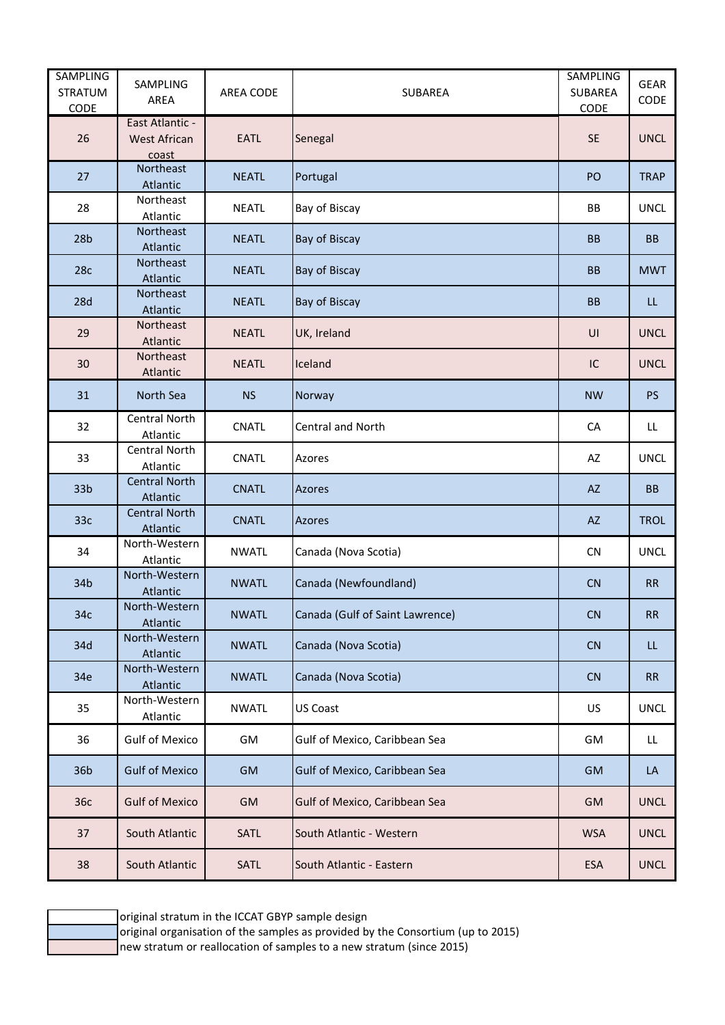| <b>SAMPLING</b><br><b>STRATUM</b><br>CODE | SAMPLING<br>AREA                         | AREA CODE    | <b>SUBAREA</b>                  | <b>SAMPLING</b><br>SUBAREA<br>CODE | <b>GEAR</b><br>CODE |
|-------------------------------------------|------------------------------------------|--------------|---------------------------------|------------------------------------|---------------------|
| 26                                        | East Atlantic -<br>West African<br>coast | <b>EATL</b>  | Senegal                         | <b>SE</b>                          | <b>UNCL</b>         |
| 27                                        | Northeast<br>Atlantic                    | <b>NEATL</b> | Portugal                        | PO                                 | <b>TRAP</b>         |
| 28                                        | Northeast<br>Atlantic                    | <b>NEATL</b> | Bay of Biscay                   | BB                                 | <b>UNCL</b>         |
| 28 <sub>b</sub>                           | Northeast<br>Atlantic                    | <b>NEATL</b> | Bay of Biscay                   | <b>BB</b>                          | <b>BB</b>           |
| 28c                                       | Northeast<br>Atlantic                    | <b>NEATL</b> | Bay of Biscay                   | <b>BB</b>                          | <b>MWT</b>          |
| 28d                                       | Northeast<br>Atlantic                    | <b>NEATL</b> | Bay of Biscay                   | <b>BB</b>                          | LL                  |
| 29                                        | Northeast<br>Atlantic                    | <b>NEATL</b> | UK, Ireland                     | UI                                 | <b>UNCL</b>         |
| 30                                        | Northeast<br>Atlantic                    | <b>NEATL</b> | Iceland                         | IC                                 | <b>UNCL</b>         |
| 31                                        | North Sea                                | <b>NS</b>    | Norway                          | <b>NW</b>                          | <b>PS</b>           |
| 32                                        | Central North<br>Atlantic                | CNATL        | <b>Central and North</b>        | CA                                 | LL                  |
| 33                                        | Central North<br>Atlantic                | CNATL        | Azores                          | AZ                                 | <b>UNCL</b>         |
| 33 <sub>b</sub>                           | <b>Central North</b><br>Atlantic         | <b>CNATL</b> | <b>Azores</b>                   | <b>AZ</b>                          | <b>BB</b>           |
| 33 <sub>c</sub>                           | <b>Central North</b><br>Atlantic         | <b>CNATL</b> | Azores                          | <b>AZ</b>                          | <b>TROL</b>         |
| 34                                        | North-Western<br>Atlantic                | <b>NWATL</b> | Canada (Nova Scotia)            | CN                                 | <b>UNCL</b>         |
| 34b                                       | North-Western<br>Atlantic                | <b>NWATL</b> | Canada (Newfoundland)           | CN                                 | <b>RR</b>           |
| 34c                                       | North-Western<br>Atlantic                | <b>NWATL</b> | Canada (Gulf of Saint Lawrence) | ${\sf CN}$                         | ${\sf RR}$          |
| 34d                                       | North-Western<br>Atlantic                | <b>NWATL</b> | Canada (Nova Scotia)            | CN                                 | LL                  |
| 34e                                       | North-Western<br>Atlantic                | <b>NWATL</b> | Canada (Nova Scotia)            | CN                                 | <b>RR</b>           |
| 35                                        | North-Western<br>Atlantic                | <b>NWATL</b> | <b>US Coast</b>                 | US                                 | <b>UNCL</b>         |
| 36                                        | <b>Gulf of Mexico</b>                    | GM           | Gulf of Mexico, Caribbean Sea   | GM                                 | LL.                 |
| 36b                                       | <b>Gulf of Mexico</b>                    | GM           | Gulf of Mexico, Caribbean Sea   | GM                                 | LA                  |
| 36с                                       | <b>Gulf of Mexico</b>                    | GM           | Gulf of Mexico, Caribbean Sea   | GM                                 | <b>UNCL</b>         |
| 37                                        | South Atlantic                           | SATL         | South Atlantic - Western        | <b>WSA</b>                         | <b>UNCL</b>         |
| 38                                        | South Atlantic                           | SATL         | South Atlantic - Eastern        | <b>ESA</b>                         | <b>UNCL</b>         |

original stratum in the ICCAT GBYP sample design

original organisation of the samples as provided by the Consortium (up to 2015)

new stratum or reallocation of samples to a new stratum (since 2015)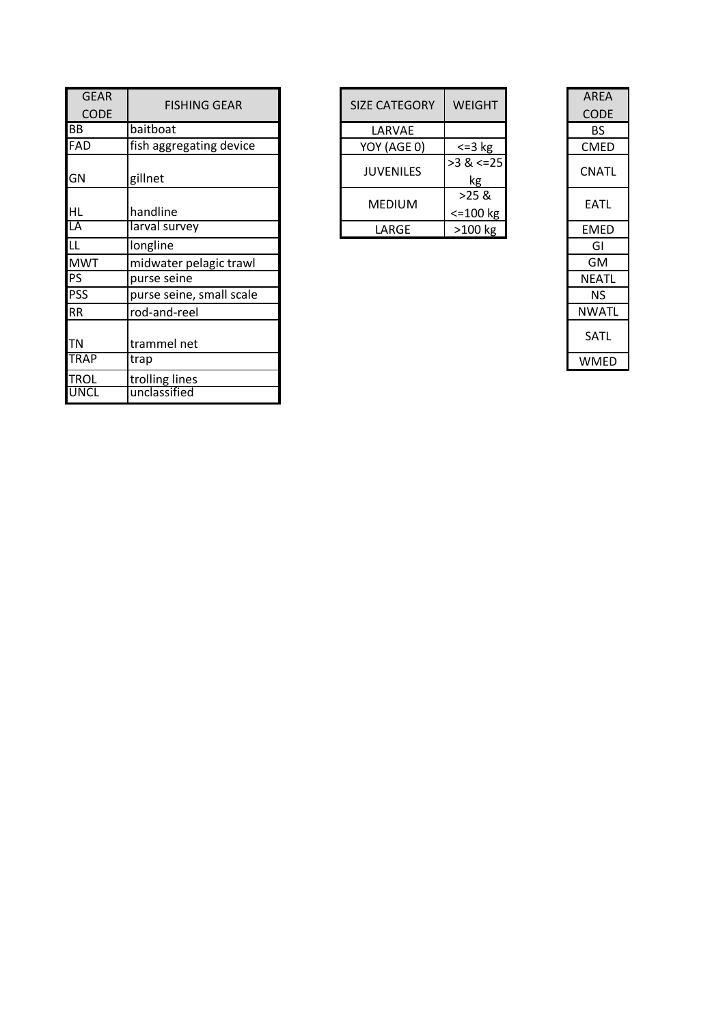| <b>GEAR</b>                |                                | SIZE CATEGORY    |                                 | <b>AREA</b>  |
|----------------------------|--------------------------------|------------------|---------------------------------|--------------|
| <b>CODE</b>                | <b>FISHING GEAR</b>            |                  | <b>WEIGHT</b>                   | <b>CODE</b>  |
| BB                         | baitboat                       | LARVAE           |                                 | <b>BS</b>    |
| FAD                        | fish aggregating device        | YOY (AGE 0)      | $\leq$ = 3 kg                   | <b>CMED</b>  |
| GN                         | gillnet                        | <b>JUVENILES</b> | $>3$ & $\le$ = 25<br>kg         | <b>CNATL</b> |
| <b>HL</b>                  | handline                       | <b>MEDIUM</b>    | $>25$ &<br>$\epsilon$ =100 $kg$ | <b>EATL</b>  |
| LA                         | larval survey                  | LARGE            | $>100$ kg                       | <b>EMED</b>  |
| $\overline{\mathsf{L}}$    | longline                       |                  |                                 | GI           |
| <b>MWT</b>                 | midwater pelagic trawl         |                  |                                 | GM           |
| PS                         | purse seine                    |                  |                                 | <b>NEATL</b> |
| <b>PSS</b>                 | purse seine, small scale       |                  |                                 | <b>NS</b>    |
| <b>RR</b>                  | rod-and-reel                   |                  |                                 | <b>NWATL</b> |
| <b>TN</b>                  | trammel net                    |                  |                                 | SATL         |
| <b>TRAP</b>                | trap                           |                  |                                 | <b>WMED</b>  |
| <b>TROL</b><br><b>UNCL</b> | trolling lines<br>unclassified |                  |                                 |              |

| <b>FISHING GEAR</b> |  | <b>SIZE CATEGORY</b> | <b>WEIGHT</b>           | <b>AREA</b><br><b>CODE</b> |
|---------------------|--|----------------------|-------------------------|----------------------------|
| at                  |  | LARVAE               |                         | <b>BS</b>                  |
| gregating device    |  | YOY (AGE 0)          | $\epsilon = 3$ kg       | <b>CMED</b>                |
|                     |  | <b>JUVENILES</b>     | $>3$ & $\leq 25$<br>kg  | CNATL                      |
| ne                  |  | <b>MEDIUM</b>        | $>25$ &<br>$< = 100$ kg | <b>EATL</b>                |
| survey              |  | LARGE                | $>100$ kg               | <b>EMED</b>                |
| $\sim$              |  |                      |                         | $\sim$ $\sim$              |

|                          | <b>AREA</b> |
|--------------------------|-------------|
| <b>IGHT</b>              | <b>CODE</b> |
|                          | BS          |
| $-3$ kg                  | <b>CMED</b> |
| $\frac{2}{x}$ <=25<br>kg | CNATL       |
| 25 &<br>.00 kg           | <b>EATL</b> |
| 00 kg                    | EMED        |
|                          | GI          |
|                          | GM          |
|                          | NEATL       |
|                          | ΝS          |
|                          | NWATL       |
|                          | SATL        |
|                          | WMED        |